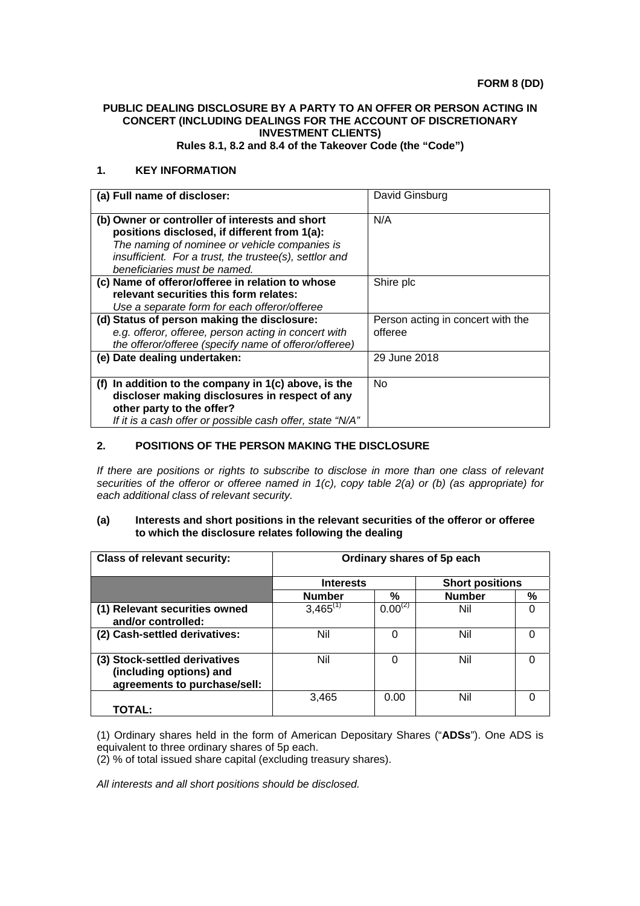### **PUBLIC DEALING DISCLOSURE BY A PARTY TO AN OFFER OR PERSON ACTING IN CONCERT (INCLUDING DEALINGS FOR THE ACCOUNT OF DISCRETIONARY INVESTMENT CLIENTS)**

**Rules 8.1, 8.2 and 8.4 of the Takeover Code (the "Code")** 

### **1. KEY INFORMATION**

| (a) Full name of discloser:                               | David Ginsburg                    |
|-----------------------------------------------------------|-----------------------------------|
| (b) Owner or controller of interests and short            | N/A                               |
| positions disclosed, if different from 1(a):              |                                   |
| The naming of nominee or vehicle companies is             |                                   |
| insufficient. For a trust, the trustee(s), settlor and    |                                   |
| beneficiaries must be named.                              |                                   |
| (c) Name of offeror/offeree in relation to whose          | Shire plc                         |
| relevant securities this form relates:                    |                                   |
| Use a separate form for each offeror/offeree              |                                   |
| (d) Status of person making the disclosure:               | Person acting in concert with the |
| e.g. offeror, offeree, person acting in concert with      | offeree                           |
| the offeror/offeree (specify name of offeror/offeree)     |                                   |
| (e) Date dealing undertaken:                              | 29 June 2018                      |
|                                                           |                                   |
| In addition to the company in 1(c) above, is the<br>(f)   | <b>No</b>                         |
| discloser making disclosures in respect of any            |                                   |
| other party to the offer?                                 |                                   |
| If it is a cash offer or possible cash offer, state "N/A" |                                   |

# **2. POSITIONS OF THE PERSON MAKING THE DISCLOSURE**

*If there are positions or rights to subscribe to disclose in more than one class of relevant securities of the offeror or offeree named in 1(c), copy table 2(a) or (b) (as appropriate) for each additional class of relevant security.* 

### **(a) Interests and short positions in the relevant securities of the offeror or offeree to which the disclosure relates following the dealing**

| <b>Class of relevant security:</b>                                                       | Ordinary shares of 5p each |              |                        |      |
|------------------------------------------------------------------------------------------|----------------------------|--------------|------------------------|------|
|                                                                                          | <b>Interests</b>           |              | <b>Short positions</b> |      |
|                                                                                          | <b>Number</b>              | %            | <b>Number</b>          | $\%$ |
| (1) Relevant securities owned<br>and/or controlled:                                      | $3,465^{(1)}$              | $0.00^{(2)}$ | Nil                    | 0    |
| (2) Cash-settled derivatives:                                                            | Nil                        |              | Nil                    | 0    |
| (3) Stock-settled derivatives<br>(including options) and<br>agreements to purchase/sell: | Nil                        |              | Nil                    | 0    |
| <b>TOTAL:</b>                                                                            | 3,465                      | 0.00         | Nil                    | Ω    |

(1) Ordinary shares held in the form of American Depositary Shares ("**ADSs**"). One ADS is equivalent to three ordinary shares of 5p each.

(2) % of total issued share capital (excluding treasury shares).

*All interests and all short positions should be disclosed.*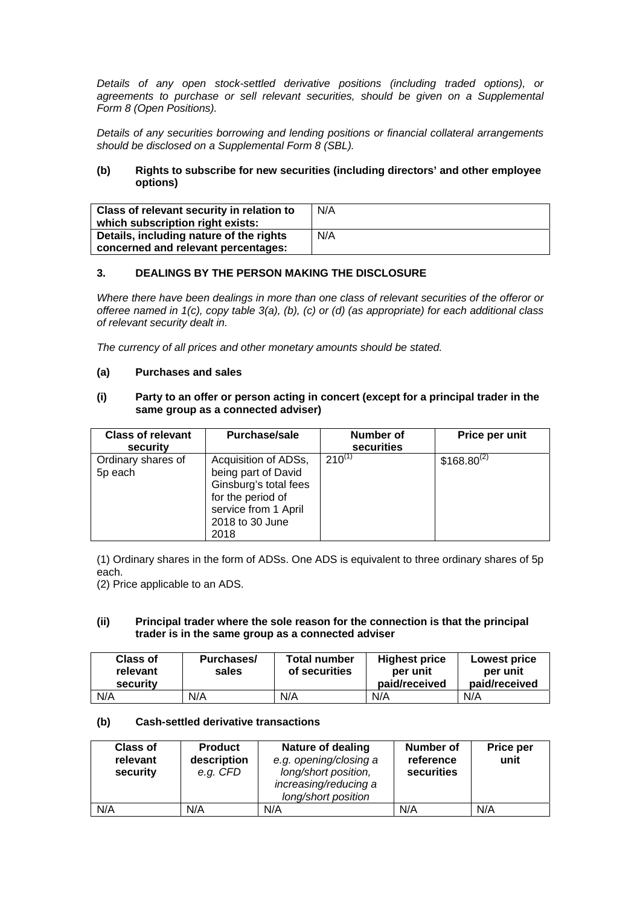*Details of any open stock-settled derivative positions (including traded options), or*  agreements to purchase or sell relevant securities, should be given on a Supplemental *Form 8 (Open Positions).* 

*Details of any securities borrowing and lending positions or financial collateral arrangements should be disclosed on a Supplemental Form 8 (SBL).* 

### **(b) Rights to subscribe for new securities (including directors' and other employee options)**

| Class of relevant security in relation to<br>which subscription right exists:  | N/A |
|--------------------------------------------------------------------------------|-----|
| Details, including nature of the rights<br>concerned and relevant percentages: | N/A |

## **3. DEALINGS BY THE PERSON MAKING THE DISCLOSURE**

*Where there have been dealings in more than one class of relevant securities of the offeror or offeree named in 1(c), copy table 3(a), (b), (c) or (d) (as appropriate) for each additional class of relevant security dealt in.* 

*The currency of all prices and other monetary amounts should be stated.* 

## **(a) Purchases and sales**

### **(i) Party to an offer or person acting in concert (except for a principal trader in the same group as a connected adviser)**

| <b>Class of relevant</b><br>security | <b>Purchase/sale</b>                                                                                                                         | Number of<br>securities | Price per unit  |
|--------------------------------------|----------------------------------------------------------------------------------------------------------------------------------------------|-------------------------|-----------------|
| Ordinary shares of<br>5p each        | Acquisition of ADSs,<br>being part of David<br>Ginsburg's total fees<br>for the period of<br>service from 1 April<br>2018 to 30 June<br>2018 | $210^{(1)}$             | $$168.80^{(2)}$ |

(1) Ordinary shares in the form of ADSs. One ADS is equivalent to three ordinary shares of 5p each.

(2) Price applicable to an ADS.

### **(ii) Principal trader where the sole reason for the connection is that the principal trader is in the same group as a connected adviser**

| Class of<br>relevant<br>security | Purchases/<br>sales | <b>Total number</b><br>of securities | <b>Highest price</b><br>per unit<br>paid/received | Lowest price<br>per unit<br>paid/received |
|----------------------------------|---------------------|--------------------------------------|---------------------------------------------------|-------------------------------------------|
| N/A                              | N/A                 | N/A                                  | N/A                                               | N/A                                       |

#### **(b) Cash-settled derivative transactions**

| <b>Class of</b><br>relevant<br>security | <b>Product</b><br>description<br>e.g. CFD | Nature of dealing<br>e.g. opening/closing a<br>long/short position,<br>increasing/reducing a<br>long/short position | Number of<br>reference<br>securities | Price per<br>unit |
|-----------------------------------------|-------------------------------------------|---------------------------------------------------------------------------------------------------------------------|--------------------------------------|-------------------|
| N/A                                     | N/A                                       | N/A                                                                                                                 | N/A                                  | N/A               |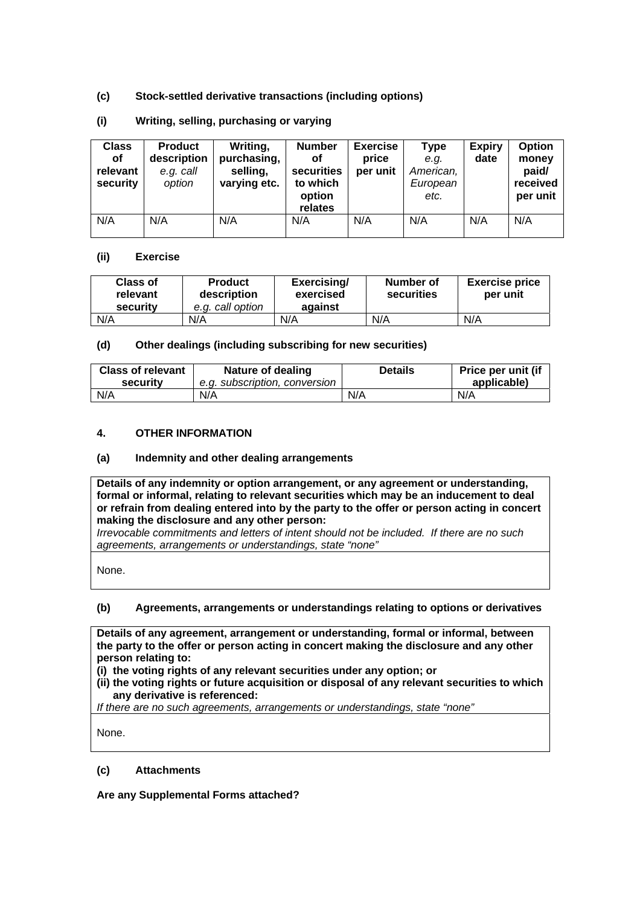# **(c) Stock-settled derivative transactions (including options)**

# **(i) Writing, selling, purchasing or varying**

| <b>Class</b><br>οf<br>relevant<br>security | <b>Product</b><br>description<br>e.g. call<br>option | Writing,<br>purchasing,<br>selling,<br>varying etc. | <b>Number</b><br>οf<br>securities<br>to which<br>option<br>relates | <b>Exercise</b><br>price<br>per unit | Type<br>e.a.<br>American,<br>European<br>etc. | <b>Expiry</b><br>date | <b>Option</b><br>money<br>paid/<br>received<br>per unit |
|--------------------------------------------|------------------------------------------------------|-----------------------------------------------------|--------------------------------------------------------------------|--------------------------------------|-----------------------------------------------|-----------------------|---------------------------------------------------------|
| N/A                                        | N/A                                                  | N/A                                                 | N/A                                                                | N/A                                  | N/A                                           | N/A                   | N/A                                                     |

## **(ii) Exercise**

| <b>Class of</b><br>relevant<br>security | <b>Product</b><br>description<br>e.g. call option | Exercising/<br>exercised<br>against | Number of<br>securities | <b>Exercise price</b><br>per unit |
|-----------------------------------------|---------------------------------------------------|-------------------------------------|-------------------------|-----------------------------------|
| N/A                                     | N/A                                               | N/A                                 | N/A                     | N/A                               |

## **(d) Other dealings (including subscribing for new securities)**

| <b>Class of relevant</b> | Nature of dealing             | <b>Details</b> | Price per unit (if |
|--------------------------|-------------------------------|----------------|--------------------|
| security                 | e.g. subscription, conversion |                | applicable)        |
| N/A                      | N/A                           | N/A            | N/A                |

# **4. OTHER INFORMATION**

## **(a) Indemnity and other dealing arrangements**

**Details of any indemnity or option arrangement, or any agreement or understanding, formal or informal, relating to relevant securities which may be an inducement to deal or refrain from dealing entered into by the party to the offer or person acting in concert making the disclosure and any other person:** 

*Irrevocable commitments and letters of intent should not be included. If there are no such agreements, arrangements or understandings, state "none"*

None.

## **(b) Agreements, arrangements or understandings relating to options or derivatives**

**Details of any agreement, arrangement or understanding, formal or informal, between the party to the offer or person acting in concert making the disclosure and any other person relating to:** 

**(i) the voting rights of any relevant securities under any option; or** 

**(ii) the voting rights or future acquisition or disposal of any relevant securities to which any derivative is referenced:** 

*If there are no such agreements, arrangements or understandings, state "none"* 

None.

## **(c) Attachments**

**Are any Supplemental Forms attached?**